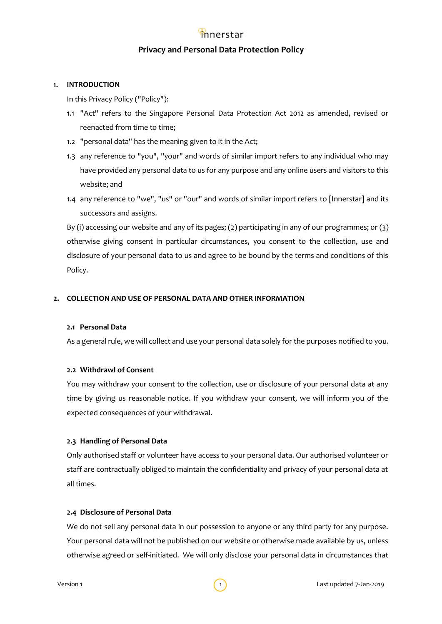## **Privacy and Personal Data Protection Policy**

## **1. INTRODUCTION**

In this Privacy Policy ("Policy"):

- 1.1 "Act" refers to the Singapore Personal Data Protection Act 2012 as amended, revised or reenacted from time to time;
- 1.2 "personal data" has the meaning given to it in the Act;
- 1.3 any reference to "you", "your" and words of similar import refers to any individual who may have provided any personal data to us for any purpose and any online users and visitors to this website; and
- 1.4 any reference to "we", "us" or "our" and words of similar import refers to [Innerstar] and its successors and assigns.

By (i) accessing our website and any of its pages; (2) participating in any of our programmes; or (3) otherwise giving consent in particular circumstances, you consent to the collection, use and disclosure of your personal data to us and agree to be bound by the terms and conditions of this Policy.

## **2. COLLECTION AND USE OF PERSONAL DATA AND OTHER INFORMATION**

## **2.1 Personal Data**

As a general rule, we will collect and use your personal data solely for the purposes notified to you.

#### **2.2 Withdrawl of Consent**

You may withdraw your consent to the collection, use or disclosure of your personal data at any time by giving us reasonable notice. If you withdraw your consent, we will inform you of the expected consequences of your withdrawal.

#### **2.3 Handling of Personal Data**

Only authorised staff or volunteer have access to your personal data. Our authorised volunteer or staff are contractually obliged to maintain the confidentiality and privacy of your personal data at all times.

#### **2.4 Disclosure of Personal Data**

We do not sell any personal data in our possession to anyone or any third party for any purpose. Your personal data will not be published on our website or otherwise made available by us, unless otherwise agreed or self-initiated. We will only disclose your personal data in circumstances that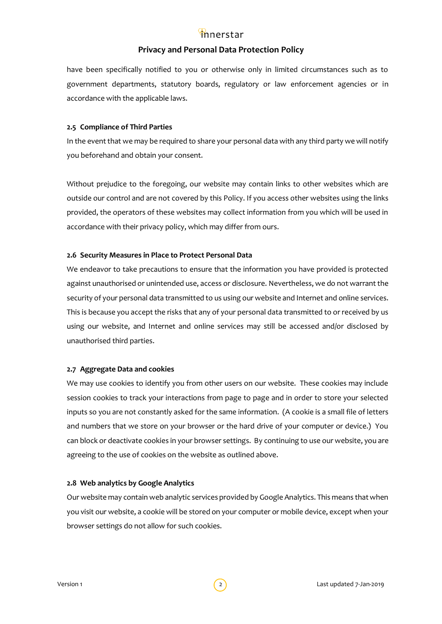## **Privacy and Personal Data Protection Policy**

have been specifically notified to you or otherwise only in limited circumstances such as to government departments, statutory boards, regulatory or law enforcement agencies or in accordance with the applicable laws.

## **2.5 Compliance of Third Parties**

In the event that we may be required to share your personal data with any third party we will notify you beforehand and obtain your consent.

Without prejudice to the foregoing, our website may contain links to other websites which are outside our control and are not covered by this Policy. If you access other websites using the links provided, the operators of these websites may collect information from you which will be used in accordance with their privacy policy, which may differ from ours.

## **2.6 Security Measures in Place to Protect Personal Data**

We endeavor to take precautions to ensure that the information you have provided is protected against unauthorised or unintended use, access or disclosure. Nevertheless, we do not warrant the security of your personal data transmitted to us using our website and Internet and online services. This is because you accept the risks that any of your personal data transmitted to or received by us using our website, and Internet and online services may still be accessed and/or disclosed by unauthorised third parties.

## **2.7 Aggregate Data and cookies**

We may use cookies to identify you from other users on our website. These cookies may include session cookies to track your interactions from page to page and in order to store your selected inputs so you are not constantly asked for the same information. (A cookie is a small file of letters and numbers that we store on your browser or the hard drive of your computer or device.) You can block or deactivate cookies in your browser settings. By continuing to use our website, you are agreeing to the use of cookies on the website as outlined above.

#### **2.8 Web analytics by Google Analytics**

Our website may contain web analytic services provided by Google Analytics. This means that when you visit our website, a cookie will be stored on your computer or mobile device, except when your browser settings do not allow for such cookies.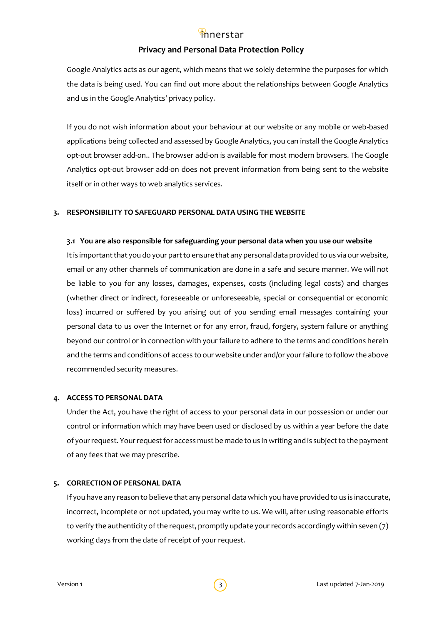## **Privacy and Personal Data Protection Policy**

Google Analytics acts as our agent, which means that we solely determine the purposes for which the data is being used. You can find out more about the relationships between Google Analytics and us in the Google Analytics' privacy policy.

If you do not wish information about your behaviour at our website or any mobile or web-based applications being collected and assessed by Google Analytics, you can install the Google Analytics opt-out browser add-on.. The browser add-on is available for most modern browsers. The Google Analytics opt-out browser add-on does not prevent information from being sent to the website itself or in other ways to web analytics services.

#### **3. RESPONSIBILITY TO SAFEGUARD PERSONAL DATA USING THE WEBSITE**

#### **3.1 You are also responsible for safeguarding your personal data when you use our website**

It is important that you do your part to ensure that any personal data provided to us via our website, email or any other channels of communication are done in a safe and secure manner. We will not be liable to you for any losses, damages, expenses, costs (including legal costs) and charges (whether direct or indirect, foreseeable or unforeseeable, special or consequential or economic loss) incurred or suffered by you arising out of you sending email messages containing your personal data to us over the Internet or for any error, fraud, forgery, system failure or anything beyond our control or in connection with your failure to adhere to the terms and conditions herein and the terms and conditions of access to our website under and/or your failure to follow the above recommended security measures.

#### **4. ACCESS TO PERSONAL DATA**

Under the Act, you have the right of access to your personal data in our possession or under our control or information which may have been used or disclosed by us within a year before the date of your request. Your request for access must be made to us in writing and is subject to the payment of any fees that we may prescribe.

## **5. CORRECTION OF PERSONAL DATA**

If you have any reason to believe that any personal data which you have provided to us is inaccurate, incorrect, incomplete or not updated, you may write to us. We will, after using reasonable efforts to verify the authenticity of the request, promptly update your records accordingly within seven (7) working days from the date of receipt of your request.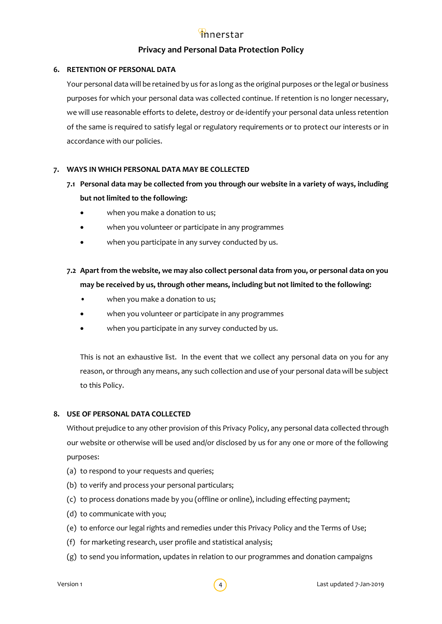## **Privacy and Personal Data Protection Policy**

## **6. RETENTION OF PERSONAL DATA**

Your personal data will be retained by us for as long as the original purposes or the legal or business purposes for which your personal data was collected continue. If retention is no longer necessary, we will use reasonable efforts to delete, destroy or de-identify your personal data unless retention of the same is required to satisfy legal or regulatory requirements or to protect our interests or in accordance with our policies.

## **7. WAYS IN WHICH PERSONAL DATA MAY BE COLLECTED**

- **7.1 Personal data may be collected from you through our website in a variety of ways, including but not limited to the following:**
	- when you make a donation to us;
	- when you volunteer or participate in any programmes
	- when you participate in any survey conducted by us.

## **7.2 Apart from the website, we may also collect personal data from you, or personal data on you may be received by us, through other means, including but not limited to the following:**

- when you make a donation to us;
- when you volunteer or participate in any programmes
- when you participate in any survey conducted by us.

This is not an exhaustive list. In the event that we collect any personal data on you for any reason, or through any means, any such collection and use of your personal data will be subject to this Policy.

#### **8. USE OF PERSONAL DATA COLLECTED**

Without prejudice to any other provision of this Privacy Policy, any personal data collected through our website or otherwise will be used and/or disclosed by us for any one or more of the following purposes:

- (a) to respond to your requests and queries;
- (b) to verify and process your personal particulars;
- (c) to process donations made by you (offline or online), including effecting payment;
- (d) to communicate with you;
- (e) to enforce our legal rights and remedies under this Privacy Policy and the Terms of Use;
- (f) for marketing research, user profile and statistical analysis;
- (g) to send you information, updates in relation to our programmes and donation campaigns